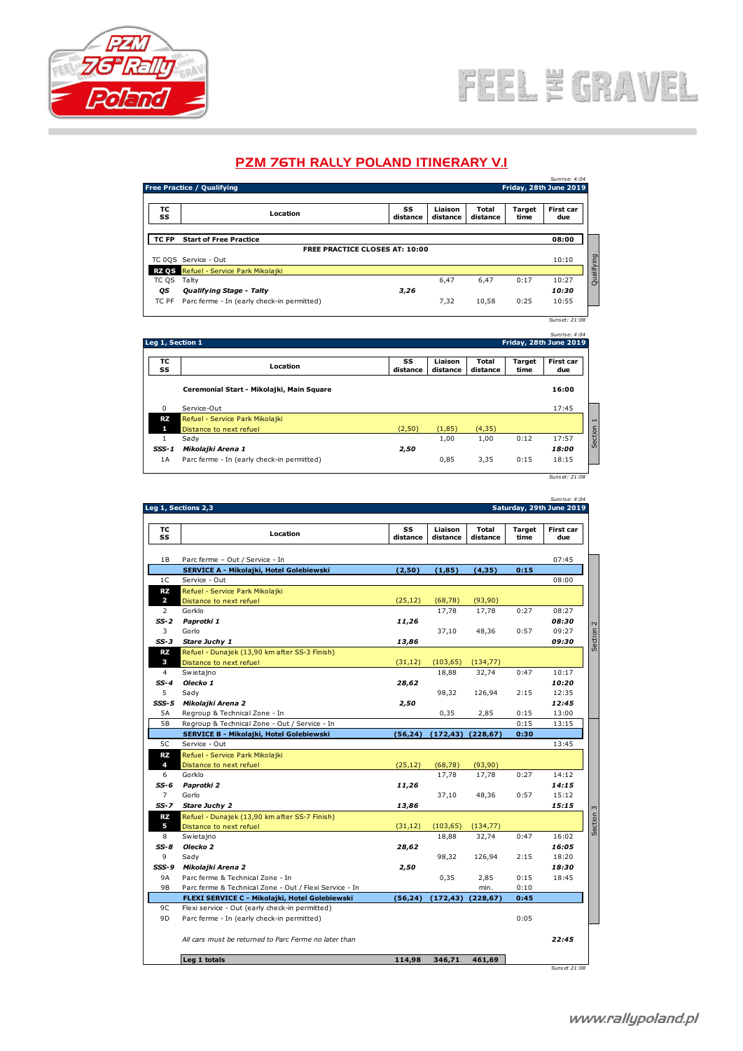

## FEEL E GRAVEL

## PZM 76TH RALLY POLAND ITINERARY V.I

| <b>PZM 76TH RALLY POLAND ITINERARY V.I</b> |                                            |                |                     |                   |                |                                         |  |  |  |
|--------------------------------------------|--------------------------------------------|----------------|---------------------|-------------------|----------------|-----------------------------------------|--|--|--|
|                                            | Free Practice / Qualifying                 |                |                     |                   |                | Sunrise: 4:04<br>Friday, 28th June 2019 |  |  |  |
|                                            |                                            |                |                     |                   |                |                                         |  |  |  |
| тс<br>SS                                   | Location                                   | SS<br>distance | Liaison<br>distance | Total<br>distance | Target<br>time | First car<br>due                        |  |  |  |
| TC FP                                      | <b>Start of Free Practice</b>              |                |                     |                   |                | 08:00                                   |  |  |  |
| <b>FREE PRACTICE CLOSES AT: 10:00</b>      |                                            |                |                     |                   |                |                                         |  |  |  |
|                                            | TC 0QS Service - Out                       |                |                     |                   |                | 10:10                                   |  |  |  |
| <b>RZ QS</b>                               | Refuel - Service Park Mikolajki            |                |                     |                   |                |                                         |  |  |  |
| TC QS                                      | Talty                                      |                | 6,47                | 6,47              | 0:17           | 10:27                                   |  |  |  |
| ОS                                         | <b>Qualifying Stage - Talty</b>            | 3,26           |                     |                   |                | 10:30                                   |  |  |  |
| TC PF                                      | Parc ferme - In (early check-in permitted) |                | 7,32                | 10,58             | 0:25           | 10:55                                   |  |  |  |
|                                            |                                            |                |                     |                   |                | Sunset: 21:08                           |  |  |  |

|                  | IC FT Failerine - In really check-in permitted ) |                | ے رہ                | 10,JO             | <b>U.ZJ</b>            | 10.JJ            |
|------------------|--------------------------------------------------|----------------|---------------------|-------------------|------------------------|------------------|
|                  |                                                  |                |                     |                   |                        | Suns et: 21:08   |
|                  |                                                  |                |                     |                   |                        | Sunrise: 4:04    |
| Leg 1, Section 1 |                                                  |                |                     |                   | Friday, 28th June 2019 |                  |
| тс<br>SS         | Location                                         | SS<br>distance | Liaison<br>distance | Total<br>distance | Target<br>time         | First car<br>due |
|                  | Ceremonial Start - Mikolajki, Main Square        |                |                     |                   |                        | 16:00            |
| $\mathbf 0$      | Service-Out                                      |                |                     |                   |                        | 17:45            |
| RZ               | Refuel - Service Park Mikolajki                  |                |                     |                   |                        |                  |
| п                | Distance to next refuel                          | (2, 50)        | (1, 85)             | (4, 35)           |                        |                  |
| 1                | Sady                                             |                | 1,00                | 1,00              | 0:12                   | 17:57            |
| $SSS - 1$        | Mikolajki Arena 1                                | 2,50           |                     |                   |                        | 18:00            |
| 1A               | Parc ferme - In (early check-in permitted)       |                | 0,85                | 3,35              | 0:15                   | 18:15            |
|                  |                                                  |                |                     |                   |                        | Suns et: 21:08   |

**1 B Parc ferme – Out / Service - In**<br> **18 Parc ferme – Out / Service - In**<br> **18 Parc ferme – Out / Service - In**<br> **18 Parc ferme – Out / Service - In**<br> **18 Parc ferme – Out / Service - In**<br> **18 Parc ferme – Out / Service SERVICE A - Mikolajki, Hotel Golebiewski (2,50) (1,85) (4,35) 0:15** 1 SS<br>
1 Container - Out / Service - In<br>
1 C Service - Out / Service - In<br>
1 C Service - Out<br>
1 C Service - Out<br>
1 C Service - Out<br>
1 C Service - Out<br>
2 C Service - Out<br>
2 C Service - Out<br>
2 C Service - Out<br>
2 C Service - O **RZ** Refuel - Service Park Mikolajki **2** Distance to next refuel (25,12) (68,78) (93,90) 2 Gorklo 17,78 17,78 0:27 08:27 *SS-2 Paprotki 1 11,26 08:30* 3 Gorlo 37,10 48,36 0:57 09:27 *SS-2* **Paprotki 1**<br> **SS-2 Paprotki 1**<br> **SS-2 Paprotki 1**<br> **SS-3 Corki 1**<br> **SS-3 Corki 1**<br> **SS-3 Core 11.26**<br> **SS-3 Core 11.26**<br> **SS-3 Core 11.26**<br> **SS-30**<br> **SS-30**<br> **SS-30**<br> **SS-30**<br> **SS-30**<br> **SS-30**<br> **D9:30 RZ** Refuel - Dunajek (13,90 km after SS-3 Finish) **3** Distance to next refuel (31,12) (103,65) (134,77)<br>
Swietajno 18,88 32,74 4 Swietajno 18,88 32,74 0:47 10:17 *SS-4 Olecko 1 28,62 10:20* 5 Sady 98,32 126,94 2:15 12:35 *SSS-5 Mikolajki Arena 2 2,50 12:45* 4 Swietajno 18,88 32,74 0:47 10:17<br>
5-4 Olecko 1 28,62 10:20<br>
5-5 Sady 98,32 126,94 2:15 12:35<br>
5-5 Mikolajki Arena 2 2,50 12:45<br>
5-8 Regroup & Technical Zone - In 0,35 2,85 0:15 13:05<br>
5-8 Regroup & Technical Zone - Out / 5 B Regroup & Technical Zone - In and the Decko 1<br>
5 Sady 98,32 126,94 2:15 12:35<br>
5 B Regroup & Technical Zone - In 12:45<br>
5 B Regroup & Technical Zone - Out / Service - In 13:50 0:15 13:00<br>
5 B Regroup & Technical Zone -**SERVICE B - Mikolajki, Hotel Golebiewski (56,24) (172,43) (228,67) 0:30** 5 Mikolajki Arena 2<br>
5 Regroup & Technical Zone - In<br>
5 Regroup & Technical Zone - Out / Service - In<br>
5 CERVICE B - Mikolajki, Hotel Golebiewski<br>
5 Cervice - Out / Service - In<br>
5 Cervice - Out / Service - In<br>
5 Cervice -**RZ** Refuel - Service Park Mikolajki **4** Distance to next refuel (25,12) (68,78) (93,90) 6 Gorklo 17,78 17,78 0:27 14:12 *SS-6 Paprotki 2 11,26 14:15* 7 Gorlo 37,10 48,36 0:57 15:12 *SS-6* **Paprotki 2**<br> **SS-6 Paprotki 2**<br> **SS-6 Paprotki 2**<br> **SS-7 Stare Juchy 2**<br> **SS-7 Stare Juchy 2**<br> **SS-7 Stare Juchy 2**<br> **SS-7 Stare Juchy 2**<br> **SS-7 Stare Juchy 2**<br> **SS-7 Stare Juchy 2**<br> **SS-7 Stare J RZ** Refuel - Dunajek (13,90 km after SS-7 Finish) **5** Distance to next refuel (31,12) (103,65) (134,77)<br>
Swietajno 18,88 32,74 8 Swietajno 18,88 32,74 0:47 16:02 *SS-8 Olecko 2 28,62 16:05* 9 Sady 98,32 126,94 2:15 18:20 *SSS-9 Mikolajki Arena 2 2,50 18:30* 9 18,88 32,74 0:47 16:02<br>
9 Sady<br>
9 Sady<br>
9 A Parc ferme & Technical Zone - In 0,35 2,50<br>
9 Parc ferme & Technical Zone - Out / Flexi Service - In 0,35 2,85 0:15 18:45<br>
9 Parc ferme & Technical Zone - Out / Flexi Service -9 98,32 126,94 2:15<br>
9 Sady 98,32 126,94 2:15<br>
9 Mikolajki Arena 2<br>
9 Parc ferme & Technical Zone - In 10:10<br>
9 Parc ferme & Technical Zone - Out / Flexi Service - In 10:10<br>
PIE FLEXI SERVICE C - Mikolajki, Hotel Golebiews **FLEXI SERVICE C - Mikolajki, Hotel Golebiewski (56,24) (172,43) (228,67) 0:45 99 Mikolajki Arena 2**<br>98 Parc ferme & Technical Zone - In<br>98 Parc ferme & Technical Zone - Out / Flexi Service - Contability, Hotel Golebic<br>90 Flexi service - Out (early check-in permitted)<br>90 Parc ferme - In (early check 9 Parc ferme & Technical Zone - In and the state of the check-in permitted)<br>
9 Parc ferme & Technical Zone - Out / Flexi Service - In and the check-in permitted)<br>
9 Parc ferme - In (early check-in permitted)<br>
9 Parc ferme *All cars must be returned to Parc Ferme no later than 22:45* **Leg 10.49 Leg 10.49 Leg 10.49 C**<br> **Leg 10.489 | Model (A) Leg 114,99 346,7 346,8 346,71 461,89 444,88 444,88 444,88 444,88 444,88 444,88 444,88 444,88 444,88 444,88 444,88 444,88 S S distance Liaison distance Total distance Target time First car due** Section 2 *Sunset: 21:08*<br>*Sunrise: 4:04*<br>June 2019 **Leg 1, Sections 2,3 Saturday, 29th June 2019 TC 1, Sections 2,3**<br> **TC**<br> **SS** Location

*Suns et 21:08*